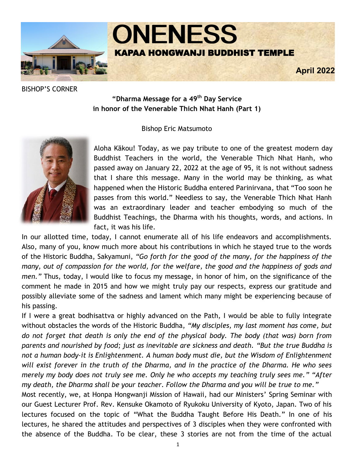

BISHOP'S CORNER

# **"Dharma Message for a 49th Day Service in honor of the Venerable Thich Nhat Hanh (Part 1)**

#### Bishop Eric Matsumoto



Aloha Kākou! Today, as we pay tribute to one of the greatest modern day Buddhist Teachers in the world, the Venerable Thich Nhat Hanh, who passed away on January 22, 2022 at the age of 95, it is not without sadness that I share this message. Many in the world may be thinking, as what happened when the Historic Buddha entered Parinirvana, that "Too soon he passes from this world." Needless to say, the Venerable Thich Nhat Hanh was an extraordinary leader and teacher embodying so much of the Buddhist Teachings, the Dharma with his thoughts, words, and actions. In fact, it was his life.

In our allotted time, today, I cannot enumerate all of his life endeavors and accomplishments. Also, many of you, know much more about his contributions in which he stayed true to the words of the Historic Buddha, Sakyamuni, *"Go forth for the good of the many, for the happiness of the many, out of compassion for the world, for the welfare, the good and the happiness of gods and men."* Thus, today, I would like to focus my message, in honor of him, on the significance of the comment he made in 2015 and how we might truly pay our respects, express our gratitude and possibly alleviate some of the sadness and lament which many might be experiencing because of his passing.

If I were a great bodhisattva or highly advanced on the Path, I would be able to fully integrate without obstacles the words of the Historic Buddha, *"My disciples, my last moment has come, but do not forget that death is only the end of the physical body. The body (that was) born from parents and nourished by food; just as inevitable are sickness and death. "But the true Buddha is not a human body-it is Enlightenment. A human body must die, but the Wisdom of Enlightenment will exist forever in the truth of the Dharma, and in the practice of the Dharma. He who sees merely my body does not truly see me. Only he who accepts my teaching truly sees me." "After my death, the Dharma shall be your teacher. Follow the Dharma and you will be true to me."* 

Most recently, we, at Honpa Hongwanji Mission of Hawaii, had our Ministers' Spring Seminar with our Guest Lecturer Prof. Rev. Kensuke Okamoto of Ryukoku University of Kyoto, Japan. Two of his lectures focused on the topic of "What the Buddha Taught Before His Death." In one of his lectures, he shared the attitudes and perspectives of 3 disciples when they were confronted with the absence of the Buddha. To be clear, these 3 stories are not from the time of the actual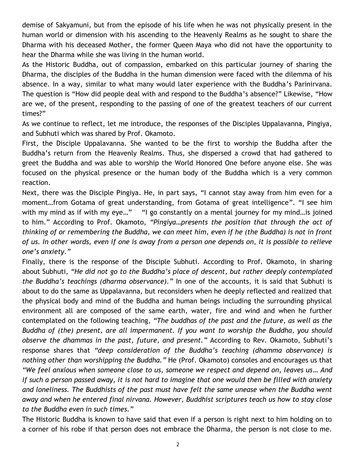demise of Sakyamuni, but from the episode of his life when he was not physically present in the human world or dimension with his ascending to the Heavenly Realms as he sought to share the Dharma with his deceased Mother, the former Queen Maya who did not have the opportunity to hear the Dharma while she was living in the human world.

As the Historic Buddha, out of compassion, embarked on this particular journey of sharing the Dharma, the disciples of the Buddha in the human dimension were faced with the dilemma of his absence. In a way, similar to what many would later experience with the Buddha's Parinirvana. The question is "How did people deal with and respond to the Buddha's absence?" Likewise, "How are we, of the present, responding to the passing of one of the greatest teachers of our current times?"

As we continue to reflect, let me introduce, the responses of the Disciples Uppalavanna, Pingiya, and Subhuti which was shared by Prof. Okamoto.

First, the Disciple Uppalavanna. She wanted to be the first to worship the Buddha after the Buddha's return from the Heavenly Realms. Thus, she dispersed a crowd that had gathered to greet the Buddha and was able to worship the World Honored One before anyone else. She was focused on the physical presence or the human body of the Buddha which is a very common reaction.

Next, there was the Disciple Pingiya. He, in part says, "I cannot stay away from him even for a moment…from Gotama of great understanding, from Gotama of great intelligence". "I see him with my mind as if with my eye..." "I go constantly on a mental journey for my mind... is joined to him." According to Prof. Okamoto, *"Pingiya…presents the position that through the act of thinking of or remembering the Buddha, we can meet him, even if he (the Buddha) is not in front of us. In other words, even if one is away from a person one depends on, it is possible to relieve one's anxiety."*

Finally, there is the response of the Disciple Subhuti. According to Prof. Okamoto, in sharing about Subhuti, *"He did not go to the Buddha's place of descent, but rather deeply contemplated the Buddha's teachings (dharma observance)."* In one of the accounts, it is said that Subhuti is about to do the same as Uppalavanna, but reconsiders when he deeply reflected and realized that the physical body and mind of the Buddha and human beings including the surrounding physical environment all are composed of the same earth, water, fire and wind and when he further contemplated on the following teaching, *"The buddhas of the past and the future, as well as the Buddha of (the) present, are all impermanent. If you want to worship the Buddha, you should observe the dhammas in the past, future, and present."* According to Rev. Okamoto, Subhuti's response shares that *"deep consideration of the Buddha's teaching (dhamma observance) is nothing other than worshipping the Buddha."* He (Prof. Okamoto) consoles and encourages us that *"We feel anxious when someone close to us, someone we respect and depend on, leaves us… And if such a person passed away, it is not hard to imagine that one would then be filled with anxiety and loneliness. The Buddhists of the past must have felt the same unease when the Buddha went away and when he entered final nirvana. However, Buddhist scriptures teach us how to stay close to the Buddha even in such times."* 

The Historic Buddha is known to have said that even if a person is right next to him holding on to a corner of his robe if that person does not embrace the Dharma, the person is not close to me.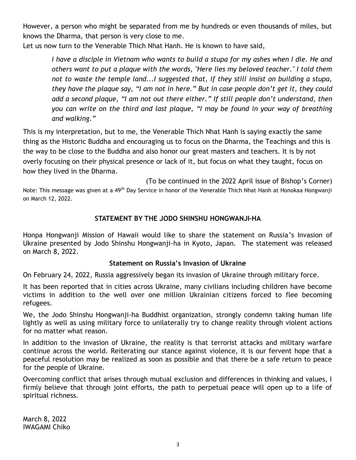However, a person who might be separated from me by hundreds or even thousands of miles, but knows the Dharma, that person is very close to me.

Let us now turn to the Venerable Thich Nhat Hanh. He is known to have said,

*I have a disciple in Vietnam who wants to build a stupa for my ashes when I die. He and others want to put a plaque with the words, "Here lies my beloved teacher." I told them not to waste the temple land...I suggested that, if they still insist on building a stupa, they have the plaque say, "I am not in here." But in case people don't get it, they could add a second plaque, "I am not out there either." If still people don't understand, then you can write on the third and last plaque, "I may be found in your way of breathing and walking."*

This is my interpretation, but to me, the Venerable Thich Nhat Hanh is saying exactly the same thing as the Historic Buddha and encouraging us to focus on the Dharma, the Teachings and this is the way to be close to the Buddha and also honor our great masters and teachers. It is by not overly focusing on their physical presence or lack of it, but focus on what they taught, focus on how they lived in the Dharma.

(To be continued in the 2022 April issue of Bishop's Corner) Note: This message was given at a 49<sup>th</sup> Day Service in honor of the Venerable Thich Nhat Hanh at Honokaa Hongwanji on March 12, 2022.

# **STATEMENT BY THE JODO SHINSHU HONGWANJI-HA**

Honpa Hongwanji Mission of Hawaii would like to share the statement on Russia's Invasion of Ukraine presented by Jodo Shinshu Hongwanji-ha in Kyoto, Japan. The statement was released on March 8, 2022.

# **Statement on Russia's Invasion of Ukraine**

On February 24, 2022, Russia aggressively began its invasion of Ukraine through military force.

It has been reported that in cities across Ukraine, many civilians including children have become victims in addition to the well over one million Ukrainian citizens forced to flee becoming refugees.

We, the Jodo Shinshu Hongwanji-ha Buddhist organization, strongly condemn taking human life lightly as well as using military force to unilaterally try to change reality through violent actions for no matter what reason.

In addition to the invasion of Ukraine, the reality is that terrorist attacks and military warfare continue across the world. Reiterating our stance against violence, it is our fervent hope that a peaceful resolution may be realized as soon as possible and that there be a safe return to peace for the people of Ukraine.

Overcoming conflict that arises through mutual exclusion and differences in thinking and values, I firmly believe that through joint efforts, the path to perpetual peace will open up to a life of spiritual richness.

March 8, 2022 IWAGAMI Chiko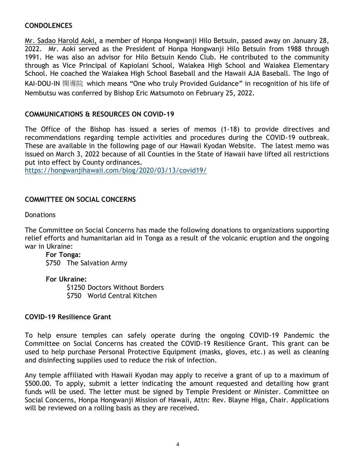# **CONDOLENCES**

Mr. Sadao Harold Aoki, a member of Honpa Hongwanji Hilo Betsuin, passed away on January 28, 2022. Mr. Aoki served as the President of Honpa Hongwanji Hilo Betsuin from 1988 through 1991. He was also an advisor for Hilo Betsuin Kendo Club. He contributed to the community through as Vice Principal of Kapiolani School, Waiakea High School and Waiakea Elementary School. He coached the Waiakea High School Baseball and the Hawaii AJA Baseball. The Ingo of KAI-DOU-IN 開導院 which means "One who truly Provided Guidance" in recognition of his life of Nembutsu was conferred by Bishop Eric Matsumoto on February 25, 2022.

#### **COMMUNICATIONS & RESOURCES ON COVID-19**

The Office of the Bishop has issued a series of memos (1-18) to provide directives and recommendations regarding temple activities and procedures during the COVID-19 outbreak. These are available in the following page of our Hawaii Kyodan Website. The latest memo was issued on March 3, 2022 because of all Counties in the State of Hawaii have lifted all restrictions put into effect by County ordinances.

<https://hongwanjihawaii.com/blog/2020/03/13/covid19/>

# **COMMITTEE ON SOCIAL CONCERNS**

**Donations** 

The Committee on Social Concerns has made the following donations to organizations supporting relief efforts and humanitarian aid in Tonga as a result of the volcanic eruption and the ongoing war in Ukraine:

#### **For Tonga:** \$750 The Salvation Army

**For Ukraine:**

\$1250 Doctors Without Borders \$750 World Central Kitchen

#### **COVID-19 Resilience Grant**

To help ensure temples can safely operate during the ongoing COVID-19 Pandemic the Committee on Social Concerns has created the COVID-19 Resilience Grant. This grant can be used to help purchase Personal Protective Equipment (masks, gloves, etc.) as well as cleaning and disinfecting supplies used to reduce the risk of infection.

Any temple affiliated with Hawaii Kyodan may apply to receive a grant of up to a maximum of \$500.00. To apply, submit a letter indicating the amount requested and detailing how grant funds will be used. The letter must be signed by Temple President or Minister. Committee on Social Concerns, Honpa Hongwanji Mission of Hawaii, Attn: Rev. Blayne Higa, Chair. Applications will be reviewed on a rolling basis as they are received.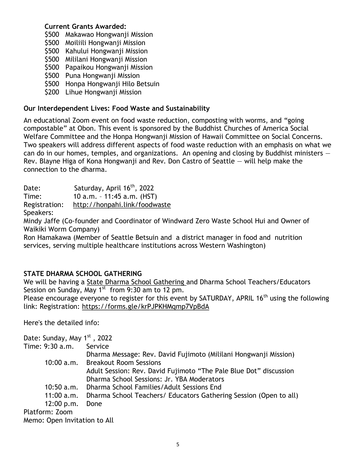#### **Current Grants Awarded:**

- \$500 Makawao Hongwanji Mission
- \$500 Moiliili Hongwanji Mission
- \$500 Kahului Hongwanji Mission
- \$500 Mililani Hongwanji Mission
- \$500 Papaikou Hongwanji Mission
- \$500 Puna Hongwanji Mission
- \$500 Honpa Hongwanji Hilo Betsuin
- \$200 Lihue Hongwanji Mission

# **Our Interdependent Lives: Food Waste and Sustainability**

An educational Zoom event on food waste reduction, composting with worms, and "going compostable" at Obon. This event is sponsored by the Buddhist Churches of America Social Welfare Committee and the Honpa Hongwanji Mission of Hawaii Committee on Social Concerns. Two speakers will address different aspects of food waste reduction with an emphasis on what we can do in our homes, temples, and organizations. An opening and closing by Buddhist ministers  $-$ Rev. Blayne Higa of Kona Hongwanji and Rev. Don Castro of Seattle — will help make the connection to the dharma.

Date: Saturday, April 16<sup>th</sup>, 2022

Time: 10 a.m. – 11:45 a.m. (HST)

Registration: <http://honpahi.link/foodwaste>

Speakers:

Mindy Jaffe (Co-founder and Coordinator of Windward Zero Waste School Hui and Owner of Waikiki Worm Company)

Ron Hamakawa (Member of Seattle Betsuin and a district manager in food and nutrition services, serving multiple healthcare institutions across Western Washington)

# **STATE DHARMA SCHOOL GATHERING**

We will be having a State Dharma School Gathering and Dharma School Teachers/Educators Session on Sunday, May  $1^{st}$  from 9:30 am to 12 pm.

Please encourage everyone to register for this event by SATURDAY, APRIL 16<sup>th</sup> using the following link: Registration:<https://forms.gle/krPJPKHMqmp7VpBdA>

Here's the detailed info:

| Date: Sunday, May 1 <sup>st</sup> , 2022 |                                                                   |  |  |
|------------------------------------------|-------------------------------------------------------------------|--|--|
| Time: 9:30 a.m.                          | Service                                                           |  |  |
|                                          | Dharma Message: Rev. David Fujimoto (Mililani Hongwanji Mission)  |  |  |
|                                          | 10:00 a.m. Breakout Room Sessions                                 |  |  |
|                                          | Adult Session: Rev. David Fujimoto "The Pale Blue Dot" discussion |  |  |
|                                          | Dharma School Sessions: Jr. YBA Moderators                        |  |  |
|                                          | 10:50 a.m. Dharma School Families/Adult Sessions End              |  |  |
| 11:00 a.m.                               | Dharma School Teachers/ Educators Gathering Session (Open to all) |  |  |
| 12:00 p.m.                               | Done                                                              |  |  |
| Platform: Zoom                           |                                                                   |  |  |
| Memo: Open Invitation to All             |                                                                   |  |  |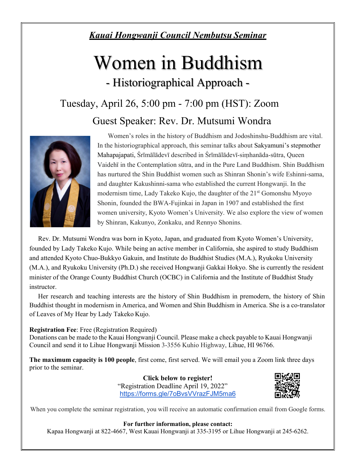# *Kauai Hongwanji Council Nembutsu Seminar*

# Women in Buddhism

- Historiographical Approach -

# Tuesday, April 26, 5:00 pm - 7:00 pm (HST): Zoom

Guest Speaker: Rev. Dr. Mutsumi Wondra



Women's roles in the history of Buddhism and Jodoshinshu-Buddhism are vital. In the historiographical approach, this seminar talks about Sakyamuni's stepmother Mahapajapati, Śrīmālādevī described in Śrīmālādevī-siṃhanāda-sūtra, Queen Vaidehī in the Contemplation sūtra, and in the Pure Land Buddhism. Shin Buddhism has nurtured the Shin Buddhist women such as Shinran Shonin's wife Eshinni-sama, and daughter Kakushinni-sama who established the current Hongwanji. In the modernism time, Lady Takeko Kujo, the daughter of the 21<sup>st</sup> Gomonshu Myoyo Shonin, founded the BWA-Fujinkai in Japan in 1907 and established the first women university, Kyoto Women's University. We also explore the view of women by Shinran, Kakunyo, Zonkaku, and Rennyo Shonins.

Rev. Dr. Mutsumi Wondra was born in Kyoto, Japan, and graduated from Kyoto Women's University, founded by Lady Takeko Kujo. While being an active member in California, she aspired to study Buddhism and attended Kyoto Chuo-Bukkyo Gakuin, and Institute do Buddhist Studies (M.A.), Ryukoku University (M.A.), and Ryukoku University (Ph.D.) she received Hongwanji Gakkai Hokyo. She is currently the resident minister of the Orange County Buddhist Church (OCBC) in California and the Institute of Buddhist Study instructor.

Her research and teaching interests are the history of Shin Buddhism in premodern, the history of Shin Buddhist thought in modernism in America, and Women and Shin Buddhism in America. She is a co-translator of Leaves of My Hear by Lady Takeko Kujo.

#### **Registration Fee**: Free (Registration Required)

Donations can be made to the Kauai Hongwanji Council. Please make a check payable to Kauai Hongwanji Council and send it to Lihue Hongwanji Mission 3-3556 Kuhio Highway, Lihue, HI 96766.

**The maximum capacity is 100 people**, first come, first served. We will email you a Zoom link three days prior to the seminar.

> **Click below to register!**  "Registration Deadline April 19, 2022" <https://forms.gle/7oBvsVVrazFJM5ma6>



When you complete the seminar registration, you will receive an automatic confirmation email from Google forms.

#### **For further information, please contact:**

Kapaa Hongwanji at 822-4667, West Kauai Hongwanji at 335-3195 or Lihue Hongwanji at 245-6262.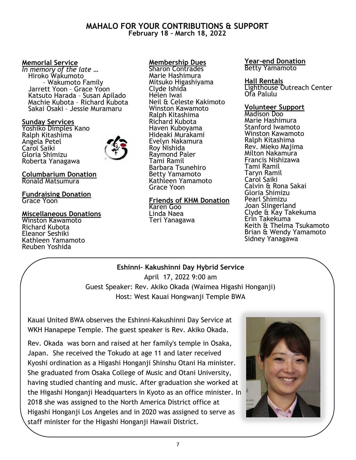#### **MAHALO FOR YOUR CONTRIBUTIONS & SUPPORT February 18 – March 18, 2022**

#### **Memorial Service**

*In memory of the late …* Hiroko Wakumoto – Wakumoto Family Jarrett Yoon – Grace Yoon Katsuto Harada – Susan Apilado Machie Kubota – Richard Kubota Sakai Osaki – Jessie Muramaru

#### **Sunday Services**

Yoshiko Dimples Kano Ralph Kitashima Angela Petel Carol Saiki Gloria Shimizu Roberta Yanagawa



#### **Columbarium Donation** Ronald Matsumura

**Fundraising Donation** Grace Yoon

#### **Miscellaneous Donations**

Winston Kawamoto Richard Kubota Eleanor Seshiki Kathleen Yamamoto Reuben Yoshida

#### **Membership Dues**

Sharon Contrades Marie Hashimura Mitsuko Higashiyama Clyde Ishida Helen Iwai Neil & Celeste Kakimoto Winston Kawamoto Ralph Kitashima Richard Kubota Haven Kuboyama Hideaki Murakami Evelyn Nakamura Roy Nishida Raymond Paler Tami Ramil Barbara Tsunehiro Betty Yamamoto Kathleen Yamamoto Grace Yoon

#### **Friends of KHM Donation** Karen Goo

Linda Naea Teri Yanagawa

#### **Year-end Donation** Betty Yamamoto

#### **Hall Rentals**

Lighthouse Outreach Center Ofa Palulu

#### **Volunteer Support**

Madison Doo Marie Hashimura Stanford Iwamoto Winston Kawamoto Ralph Kitashima Rev. Mieko Majima Milton Nakamura Francis Nishizawa Tami Ramil Taryn Ramil Carol Saiki Calvin & Rona Sakai Gloria Shimizu Pearl Shimizu Joan Slingerland Clyde & Kay Takekuma Erin Takekuma Keith & Thelma Tsukamoto Brian & Wendy Yamamoto Sidney Yanagawa

# **Eshinni– Kakushinni Day Hybrid Service**

April 17, 2022 9:00 am Guest Speaker: Rev. Akiko Okada (Waimea Higashi Honganji) Host: West Kauai Hongwanji Temple BWA

Kauai United BWA observes the Eshinni-Kakushinni Day Service at WKH Hanapepe Temple. The guest speaker is Rev. Akiko Okada.

Rev. Okada was born and raised at her family's temple in Osaka, Japan. She received the Tokudo at age 11 and later received Kyoshi ordination as a Higashi Honganji Shinshu Otani Ha minister. She graduated from Osaka College of Music and Otani University, having studied chanting and music. After graduation she worked at the Higashi Honganji Headquarters in Kyoto as an office minister. In 2018 she was assigned to the North America District office at Higashi Honganji Los Angeles and in 2020 was assigned to serve as staff minister for the Higashi Honganji Hawaii District.

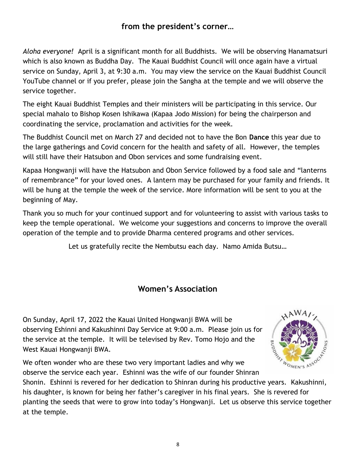# **from the president's corner…**

*Aloha everyone!* April is a significant month for all Buddhists. We will be observing Hanamatsuri which is also known as Buddha Day. The Kauai Buddhist Council will once again have a virtual service on Sunday, April 3, at 9:30 a.m. You may view the service on the Kauai Buddhist Council YouTube channel or if you prefer, please join the Sangha at the temple and we will observe the service together.

The eight Kauai Buddhist Temples and their ministers will be participating in this service. Our special mahalo to Bishop Kosen Ishikawa (Kapaa Jodo Mission) for being the chairperson and coordinating the service, proclamation and activities for the week.

The Buddhist Council met on March 27 and decided not to have the Bon **Dance** this year due to the large gatherings and Covid concern for the health and safety of all. However, the temples will still have their Hatsubon and Obon services and some fundraising event.

Kapaa Hongwanji will have the Hatsubon and Obon Service followed by a food sale and "lanterns of remembrance" for your loved ones. A lantern may be purchased for your family and friends. It will be hung at the temple the week of the service. More information will be sent to you at the beginning of May.

Thank you so much for your continued support and for volunteering to assist with various tasks to keep the temple operational. We welcome your suggestions and concerns to improve the overall operation of the temple and to provide Dharma centered programs and other services.

Let us gratefully recite the Nembutsu each day. Namo Amida Butsu…

# **Women's Association**

On Sunday, April 17, 2022 the Kauai United Hongwanji BWA will be observing Eshinni and Kakushinni Day Service at 9:00 a.m. Please join us for the service at the temple. It will be televised by Rev. Tomo Hojo and the West Kauai Hongwanji BWA.



We often wonder who are these two very important ladies and why we observe the service each year. Eshinni was the wife of our founder Shinran

Shonin. Eshinni is revered for her dedication to Shinran during his productive years. Kakushinni, his daughter, is known for being her father's caregiver in his final years. She is revered for planting the seeds that were to grow into today's Hongwanji. Let us observe this service together at the temple.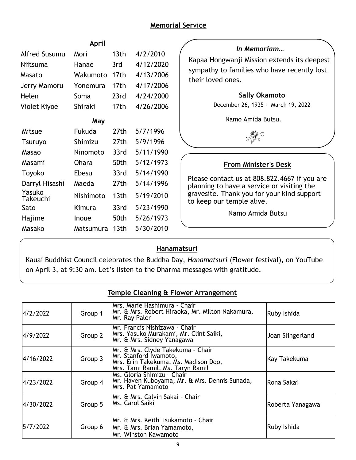# **Memorial Service**

| April                     |               |                  |           | In Memoriam                                                                                |  |
|---------------------------|---------------|------------------|-----------|--------------------------------------------------------------------------------------------|--|
| <b>Alfred Susumu</b>      | Mori          | 13 <sub>th</sub> | 4/2/2010  |                                                                                            |  |
| Niitsuma                  | Hanae         | 3rd              | 4/12/2020 | Kapaa Hongwanji Mission extends its deepest                                                |  |
| Masato                    | Wakumoto      | 17 <sub>th</sub> | 4/13/2006 | sympathy to families who have recently lost<br>their loved ones.                           |  |
| Jerry Mamoru              | Yonemura      | 17 <sub>th</sub> | 4/17/2006 |                                                                                            |  |
| Helen                     | Soma          | 23rd             | 4/24/2000 | <b>Sally Okamoto</b>                                                                       |  |
| Violet Kiyoe              | Shiraki       | 17th             | 4/26/2006 | December 26, 1935 - March 19, 2022                                                         |  |
| May                       |               |                  |           | Namo Amida Butsu.                                                                          |  |
| Mitsue                    | <b>Fukuda</b> | 27th             | 5/7/1996  |                                                                                            |  |
| <b>Tsuruyo</b>            | Shimizu       | 27th             | 5/9/1996  |                                                                                            |  |
| Masao                     | Ninomoto      | 33rd             | 5/11/1990 |                                                                                            |  |
| Masami                    | <b>Ohara</b>  | 50th             | 5/12/1973 | <b>From Minister's Desk</b>                                                                |  |
| Toyoko                    | Ebesu         | 33rd             | 5/14/1990 |                                                                                            |  |
| Darryl Hisashi            | Maeda         | 27th             | 5/14/1996 | Please contact us at 808.822.4667 if you are<br>planning to have a service or visiting the |  |
| Yasuko<br><b>Takeuchi</b> | Nishimoto     | 13 <sub>th</sub> | 5/19/2010 | gravesite. Thank you for your kind support<br>to keep our temple alive.                    |  |
| Sato                      | Kimura        | 33rd             | 5/23/1990 |                                                                                            |  |
| Hajime                    | Inoue         | 50th             | 5/26/1973 | Namo Amida Butsu                                                                           |  |
| Masako                    | Matsumura     | 13 <sub>th</sub> | 5/30/2010 |                                                                                            |  |

# **Hanamatsuri**

Kauai Buddhist Council celebrates the Buddha Day, *Hanamatsuri* (Flower festival), on YouTube on April 3, at 9:30 am. Let's listen to the Dharma messages with gratitude.

| remple clearing a riower Arrangement |         |                                                                                                                                        |                  |  |  |  |  |
|--------------------------------------|---------|----------------------------------------------------------------------------------------------------------------------------------------|------------------|--|--|--|--|
| 4/2/2022                             | Group 1 | Mrs. Marie Hashimura - Chair<br>Mr. & Mrs. Robert Hiraoka, Mr. Milton Nakamura,<br>Mr. Ray Paler                                       | Ruby Ishida      |  |  |  |  |
| 4/9/2022                             | Group 2 | Mr. Francis Nishizawa - Chair<br>Mrs. Yasuko Murakami, Mr. Clint Saiki,<br>Mr. & Mrs. Sidney Yanagawa                                  | Joan Slingerland |  |  |  |  |
| 4/16/2022                            | Group 3 | Mr. & Mrs. Clyde Takekuma - Chair<br>Mr. Stanford Iwamoto,<br>Mrs. Erin Takekuma, Ms. Madison Doo,<br>Mrs. Tami Ramil, Ms. Taryn Ramil | Kay Takekuma     |  |  |  |  |
| 4/23/2022                            | Group 4 | Ms. Gloria Shimizu - Chair<br>Mr. Haven Kuboyama, Mr. & Mrs. Dennis Sunada,<br>lMrs. Pat Yamamoto                                      | lRona Sakai      |  |  |  |  |
| 4/30/2022                            | Group 5 | Mr. & Mrs. Calvin Sakai - Chair<br>Ms. Carol Saiki                                                                                     | Roberta Yanagawa |  |  |  |  |
| 5/7/2022                             | Group 6 | Mr. & Mrs. Keith Tsukamoto - Chair<br>Mr. & Mrs. Brian Yamamoto,<br>Mr. Winston Kawamoto                                               | Ruby Ishida      |  |  |  |  |

# **Temple Cleaning & Flower Arrangement**